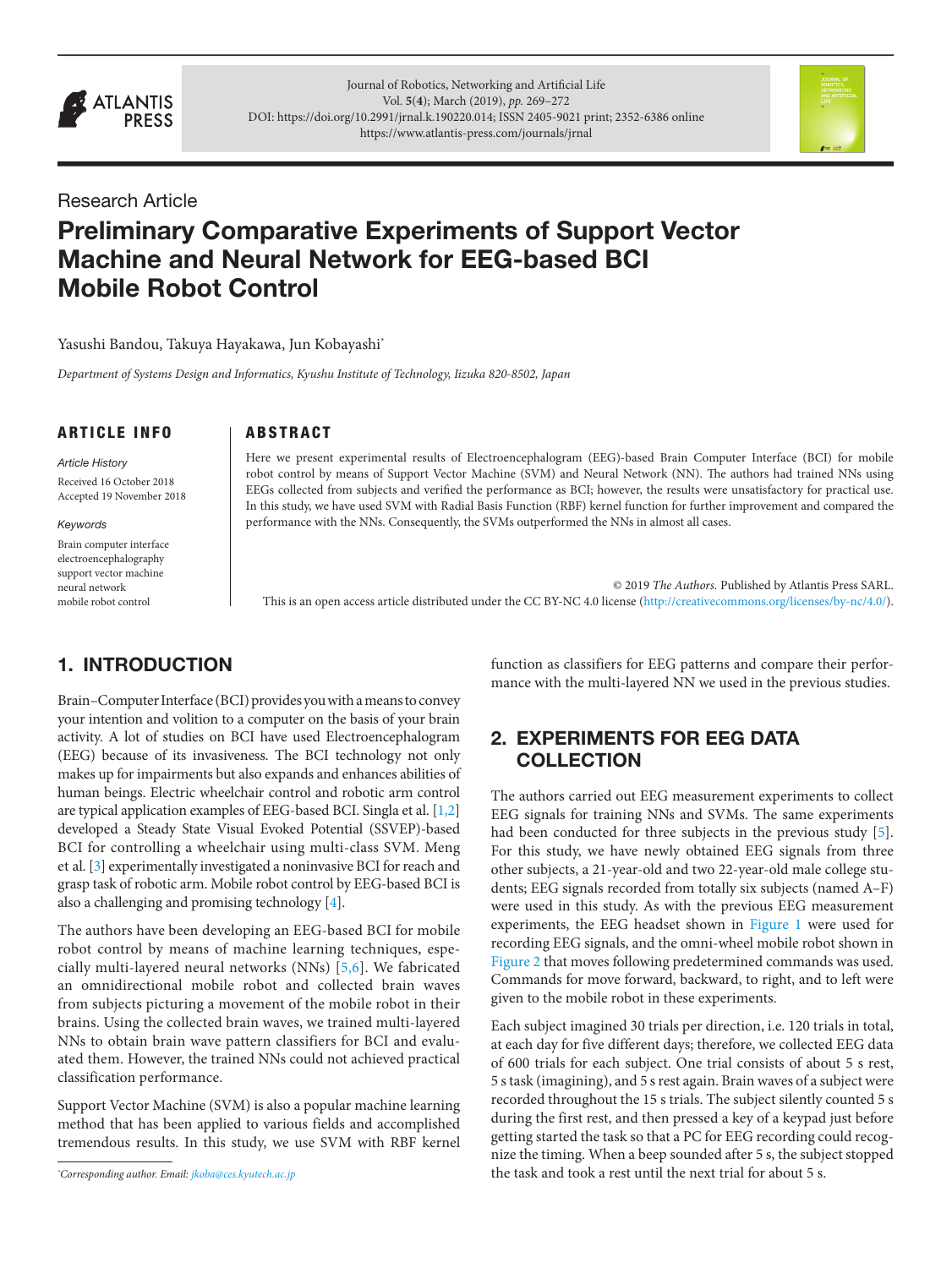

Journal of Robotics, Networking and Artificial Life Vol. **5**(**4**); March (2019), *pp.* 269–272 DOI: <https://doi.org/10.2991/jrnal.k.190220.014>; ISSN 2405-9021 print; 2352-6386 online <https://www.atlantis-press.com/journals/jrnal>



# Research Article

# Preliminary Comparative Experiments of Support Vector Machine and Neural Network for EEG-based BCI Mobile Robot Control

Yasushi Bandou, Takuya Hayakawa, Jun Kobayashi\*

*Department of Systems Design and Informatics, Kyushu Institute of Technology, Iizuka 820-8502, Japan* 

### ARTICLE INFO

Received 16 October 2018 Accepted 19 November 2018

*Keywords*

*Article History*

Brain computer interface electroencephalography support vector machine neural network mobile robot control

# 1. INTRODUCTION

Brain–Computer Interface (BCI) provides you with a means to convey your intention and volition to a computer on the basis of your brain activity. A lot of studies on BCI have used Electroencephalogram (EEG) because of its invasiveness. The BCI technology not only makes up for impairments but also expands and enhances abilities of human beings. Electric wheelchair control and robotic arm control are typical application examples of EEG-based BCI. Singla et al. [[1,2\]](#page-2-0) developed a Steady State Visual Evoked Potential (SSVEP)-based BCI for controlling a wheelchair using multi-class SVM. Meng et al. [[3](#page-2-0)] experimentally investigated a noninvasive BCI for reach and grasp task of robotic arm. Mobile robot control by EEG-based BCI is also a challenging and promising technology [\[4\]](#page-2-0).

The authors have been developing an EEG-based BCI for mobile robot control by means of machine learning techniques, especially multi-layered neural networks (NNs) [\[5](#page-2-0)[,6\]](#page-3-0). We fabricated an omnidirectional mobile robot and collected brain waves from subjects picturing a movement of the mobile robot in their brains. Using the collected brain waves, we trained multi-layered NNs to obtain brain wave pattern classifiers for BCI and evaluated them. However, the trained NNs could not achieved practical classification performance.

Support Vector Machine (SVM) is also a popular machine learning method that has been applied to various fields and accomplished tremendous results. In this study, we use SVM with RBF kernel

*\* Corresponding author. Email: [jkoba@ces.kyutech.ac.jp](http://jkoba%40ces.kyutech.ac.jp)*

**ABSTRACT** 

Here we present experimental results of Electroencephalogram (EEG)-based Brain Computer Interface (BCI) for mobile robot control by means of Support Vector Machine (SVM) and Neural Network (NN). The authors had trained NNs using EEGs collected from subjects and verified the performance as BCI; however, the results were unsatisfactory for practical use. In this study, we have used SVM with Radial Basis Function (RBF) kernel function for further improvement and compared the performance with the NNs. Consequently, the SVMs outperformed the NNs in almost all cases.

© 2019 *The Authors.* Published by Atlantis Press SARL. This is an open access article distributed under the CC BY-NC 4.0 license ([http://creativecommons.org/licenses/by-nc/4.0/\)](http://creativecommons.org/licenses/by-nc/4.0/).

> function as classifiers for EEG patterns and compare their performance with the multi-layered NN we used in the previous studies.

## 2. EXPERIMENTS FOR EEG DATA **COLLECTION**

The authors carried out EEG measurement experiments to collect EEG signals for training NNs and SVMs. The same experiments had been conducted for three subjects in the previous study [\[5\]](#page-2-0). For this study, we have newly obtained EEG signals from three other subjects, a 21-year-old and two 22-year-old male college students; EEG signals recorded from totally six subjects (named A–F) were used in this study. As with the previous EEG measurement experiments, the EEG headset shown in [Figure 1](#page-1-0) were used for recording EEG signals, and the omni-wheel mobile robot shown in [Figure 2](#page-1-0) that moves following predetermined commands was used. Commands for move forward, backward, to right, and to left were given to the mobile robot in these experiments.

Each subject imagined 30 trials per direction, i.e. 120 trials in total, at each day for five different days; therefore, we collected EEG data of 600 trials for each subject. One trial consists of about 5 s rest, 5 s task (imagining), and 5 s rest again. Brain waves of a subject were recorded throughout the 15 s trials. The subject silently counted 5 s during the first rest, and then pressed a key of a keypad just before getting started the task so that a PC for EEG recording could recognize the timing. When a beep sounded after 5 s, the subject stopped the task and took a rest until the next trial for about 5 s.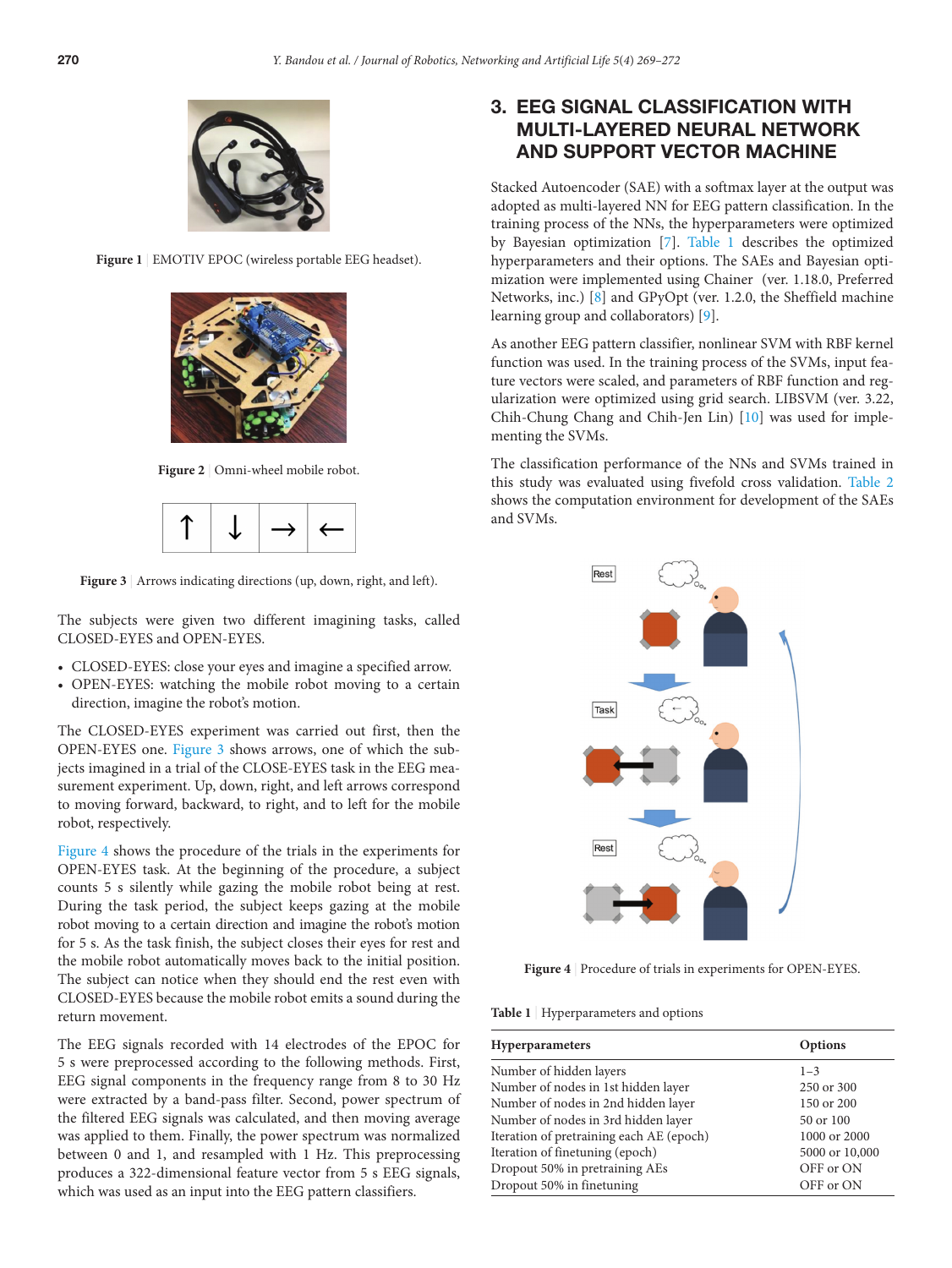<span id="page-1-0"></span>

Figure 1 | EMOTIV EPOC (wireless portable EEG headset).



Figure 2 | Omni-wheel mobile robot.



Figure 3 | Arrows indicating directions (up, down, right, and left).

The subjects were given two different imagining tasks, called CLOSED-EYES and OPEN-EYES.

- CLOSED-EYES: close your eyes and imagine a specified arrow.
- OPEN-EYES: watching the mobile robot moving to a certain direction, imagine the robot's motion.

The CLOSED-EYES experiment was carried out first, then the OPEN-EYES one. Figure 3 shows arrows, one of which the subjects imagined in a trial of the CLOSE-EYES task in the EEG measurement experiment. Up, down, right, and left arrows correspond to moving forward, backward, to right, and to left for the mobile robot, respectively.

Figure 4 shows the procedure of the trials in the experiments for OPEN-EYES task. At the beginning of the procedure, a subject counts 5 s silently while gazing the mobile robot being at rest. During the task period, the subject keeps gazing at the mobile robot moving to a certain direction and imagine the robot's motion for 5 s. As the task finish, the subject closes their eyes for rest and the mobile robot automatically moves back to the initial position. The subject can notice when they should end the rest even with CLOSED-EYES because the mobile robot emits a sound during the return movement.

The EEG signals recorded with 14 electrodes of the EPOC for 5 s were preprocessed according to the following methods. First, EEG signal components in the frequency range from 8 to 30 Hz were extracted by a band-pass filter. Second, power spectrum of the filtered EEG signals was calculated, and then moving average was applied to them. Finally, the power spectrum was normalized between 0 and 1, and resampled with 1 Hz. This preprocessing produces a 322-dimensional feature vector from 5 s EEG signals, which was used as an input into the EEG pattern classifiers.

# 3. EEG SIGNAL CLASSIFICATION WITH MULTI-LAYERED NEURAL NETWORK AND SUPPORT VECTOR MACHINE

Stacked Autoencoder (SAE) with a softmax layer at the output was adopted as multi-layered NN for EEG pattern classification. In the training process of the NNs, the hyperparameters were optimized by Bayesian optimization [[7](#page-3-0)]. Table 1 describes the optimized hyperparameters and their options. The SAEs and Bayesian optimization were implemented using Chainer (ver. 1.18.0, Preferred Networks, inc.) [[8](#page-3-0)] and GPyOpt (ver. 1.2.0, the Sheffield machine learning group and collaborators) [\[9\]](#page-3-0).

As another EEG pattern classifier, nonlinear SVM with RBF kernel function was used. In the training process of the SVMs, input feature vectors were scaled, and parameters of RBF function and regularization were optimized using grid search. LIBSVM (ver. 3.22, Chih-Chung Chang and Chih-Jen Lin) [[10\]](#page-3-0) was used for implementing the SVMs.

The classification performance of the NNs and SVMs trained in this study was evaluated using fivefold cross validation. [Table 2](#page-2-0) shows the computation environment for development of the SAEs and SVMs.



**Figure 4** | Procedure of trials in experiments for OPEN-EYES.

**Table 1** | Hyperparameters and options

| <b>Hyperparameters</b>                   | Options        |
|------------------------------------------|----------------|
| Number of hidden layers                  | $1 - 3$        |
| Number of nodes in 1st hidden layer      | 250 or 300     |
| Number of nodes in 2nd hidden layer      | 150 or 200     |
| Number of nodes in 3rd hidden layer      | $50$ or $100$  |
| Iteration of pretraining each AE (epoch) | 1000 or 2000   |
| Iteration of finetuning (epoch)          | 5000 or 10,000 |
| Dropout 50% in pretraining AEs           | OFF or ON      |
| Dropout 50% in finetuning                | OFF or ON      |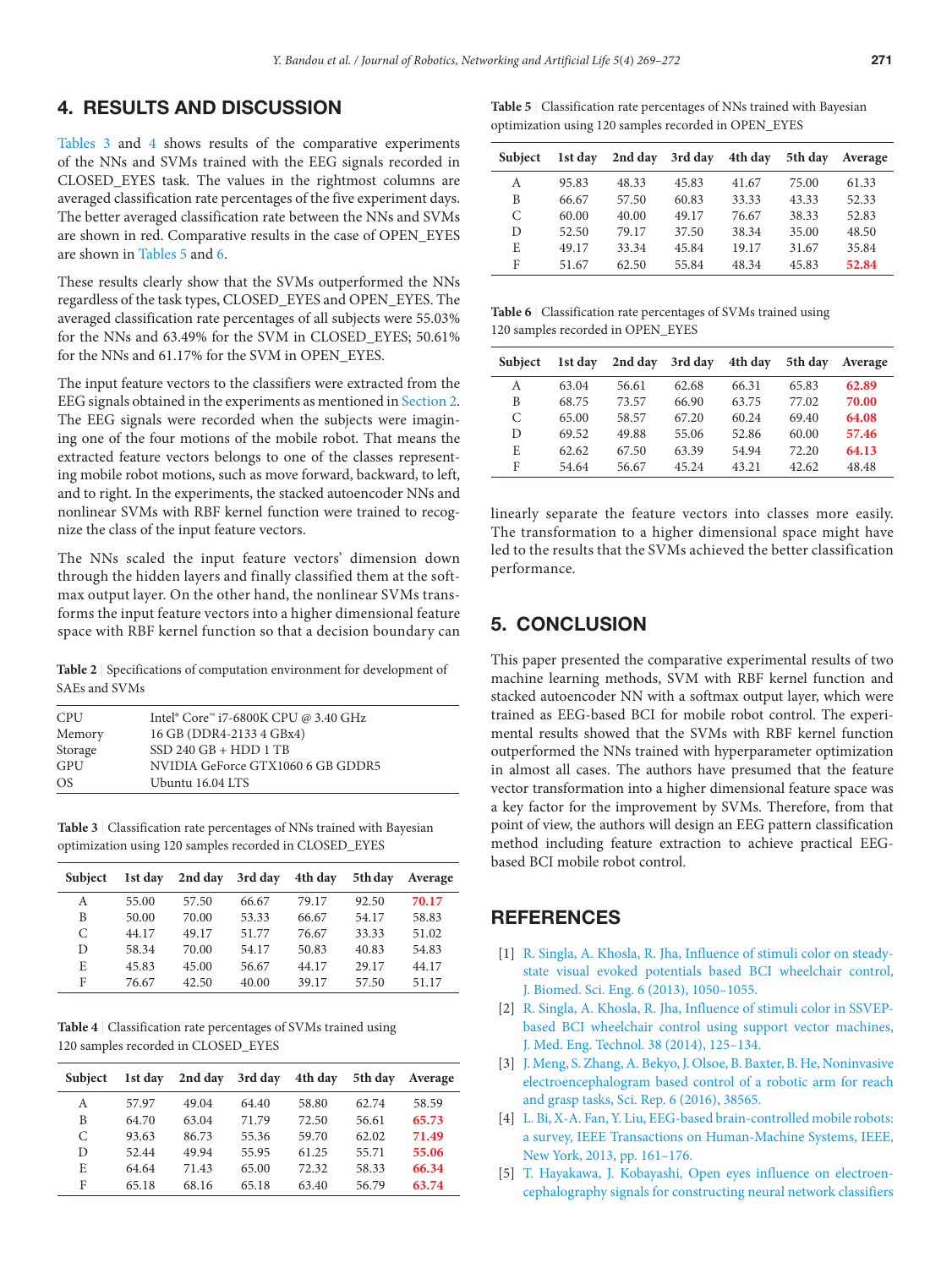## <span id="page-2-0"></span>4. RESULTS AND DISCUSSION

Tables 3 and 4 shows results of the comparative experiments of the NNs and SVMs trained with the EEG signals recorded in CLOSED\_EYES task. The values in the rightmost columns are averaged classification rate percentages of the five experiment days. The better averaged classification rate between the NNs and SVMs are shown in red. Comparative results in the case of OPEN\_EYES are shown in Tables 5 and 6.

These results clearly show that the SVMs outperformed the NNs regardless of the task types, CLOSED\_EYES and OPEN\_EYES. The averaged classification rate percentages of all subjects were 55.03% for the NNs and 63.49% for the SVM in CLOSED\_EYES; 50.61% for the NNs and 61.17% for the SVM in OPEN\_EYES.

The input feature vectors to the classifiers were extracted from the EEG signals obtained in the experiments as mentioned in Section 2. The EEG signals were recorded when the subjects were imagining one of the four motions of the mobile robot. That means the extracted feature vectors belongs to one of the classes representing mobile robot motions, such as move forward, backward, to left, and to right. In the experiments, the stacked autoencoder NNs and nonlinear SVMs with RBF kernel function were trained to recognize the class of the input feature vectors.

The NNs scaled the input feature vectors' dimension down through the hidden layers and finally classified them at the softmax output layer. On the other hand, the nonlinear SVMs transforms the input feature vectors into a higher dimensional feature space with RBF kernel function so that a decision boundary can

**Table 2** | Specifications of computation environment for development of SAEs and SVMs

| <b>CPU</b> | Intel® Core™ i7-6800K CPU @ 3.40 GHz |
|------------|--------------------------------------|
| Memory     | 16 GB (DDR4-2133 4 GBx4)             |
| Storage    | $SSD 240 GB + HDD 1 TB$              |
| GPU        | NVIDIA GeForce GTX1060 6 GB GDDR5    |
| OS.        | Ubuntu 16.04 LTS                     |

**Table 3** | Classification rate percentages of NNs trained with Bayesian optimization using 120 samples recorded in CLOSED\_EYES

| <b>Subject</b> | 1st day | 2nd day | 3rd day | 4th day | 5th day | Average |
|----------------|---------|---------|---------|---------|---------|---------|
| А              | 55.00   | 57.50   | 66.67   | 79.17   | 92.50   | 70.17   |
| B              | 50.00   | 70.00   | 53.33   | 66.67   | 54.17   | 58.83   |
| C              | 44.17   | 49.17   | 51.77   | 76.67   | 33.33   | 51.02   |
| D              | 58.34   | 70.00   | 54.17   | 50.83   | 40.83   | 54.83   |
| E              | 45.83   | 45.00   | 56.67   | 44.17   | 29.17   | 44.17   |
| F              | 76.67   | 42.50   | 40.00   | 39.17   | 57.50   | 51.17   |

**Table 4** | Classification rate percentages of SVMs trained using 120 samples recorded in CLOSED\_EYES

| <b>Subject</b> | 1st day | 2nd day | 3rd day | 4th day | 5th day | Average |
|----------------|---------|---------|---------|---------|---------|---------|
| А              | 57.97   | 49.04   | 64.40   | 58.80   | 62.74   | 58.59   |
| B              | 64.70   | 63.04   | 71.79   | 72.50   | 56.61   | 65.73   |
| C              | 93.63   | 86.73   | 55.36   | 59.70   | 62.02   | 71.49   |
| D              | 52.44   | 49.94   | 55.95   | 61.25   | 55.71   | 55.06   |
| E              | 64.64   | 71.43   | 65.00   | 72.32   | 58.33   | 66.34   |
| F              | 65.18   | 68.16   | 65.18   | 63.40   | 56.79   | 63.74   |

**Table 5** | Classification rate percentages of NNs trained with Bayesian optimization using 120 samples recorded in OPEN\_EYES

| <b>Subject</b> | 1st day | 2nd day | 3rd day | 4th day | 5th day | Average |
|----------------|---------|---------|---------|---------|---------|---------|
| A              | 95.83   | 48.33   | 45.83   | 41.67   | 75.00   | 61.33   |
| B              | 66.67   | 57.50   | 60.83   | 33.33   | 43.33   | 52.33   |
| C              | 60.00   | 40.00   | 49.17   | 76.67   | 38.33   | 52.83   |
| D              | 52.50   | 79.17   | 37.50   | 38.34   | 35.00   | 48.50   |
| E              | 49.17   | 33.34   | 45.84   | 19.17   | 31.67   | 35.84   |
| F              | 51.67   | 62.50   | 55.84   | 48.34   | 45.83   | 52.84   |

**Table 6** | Classification rate percentages of SVMs trained using 120 samples recorded in OPEN\_EYES

| Subject | 1st day | 2nd day | 3rd day | 4th day | 5th day | Average |
|---------|---------|---------|---------|---------|---------|---------|
| А       | 63.04   | 56.61   | 62.68   | 66.31   | 65.83   | 62.89   |
| B       | 68.75   | 73.57   | 66.90   | 63.75   | 77.02   | 70.00   |
| C       | 65.00   | 58.57   | 67.20   | 60.24   | 69.40   | 64.08   |
| D       | 69.52   | 49.88   | 55.06   | 52.86   | 60.00   | 57.46   |
| E       | 62.62   | 67.50   | 63.39   | 54.94   | 72.20   | 64.13   |
| F       | 54.64   | 56.67   | 45.24   | 43.21   | 42.62   | 48.48   |

linearly separate the feature vectors into classes more easily. The transformation to a higher dimensional space might have led to the results that the SVMs achieved the better classification performance.

## 5. CONCLUSION

This paper presented the comparative experimental results of two machine learning methods, SVM with RBF kernel function and stacked autoencoder NN with a softmax output layer, which were trained as EEG-based BCI for mobile robot control. The experimental results showed that the SVMs with RBF kernel function outperformed the NNs trained with hyperparameter optimization in almost all cases. The authors have presumed that the feature vector transformation into a higher dimensional feature space was a key factor for the improvement by SVMs. Therefore, from that point of view, the authors will design an EEG pattern classification method including feature extraction to achieve practical EEGbased BCI mobile robot control.

## **REFERENCES**

- [1] [R. Singla, A. Khosla, R. Jha, Influence of stimuli color on steady](https://doi.org/10.4236/jbise.2013.611131)[state visual evoked potentials based BCI wheelchair control,](https://doi.org/10.4236/jbise.2013.611131) [J. Biomed. Sci. Eng. 6 \(2013\), 1050–1055.](https://doi.org/10.4236/jbise.2013.611131)
- [2] [R. Singla, A. Khosla, R. Jha, Influence of stimuli color in SSVEP](https://doi.org/10.3109/03091902.2014.884179)[based BCI wheelchair control using support vector machines,](https://doi.org/10.3109/03091902.2014.884179) [J. Med. Eng. Technol. 38 \(2014\), 125–134.](https://doi.org/10.3109/03091902.2014.884179)
- [3] [J. Meng, S. Zhang, A. Bekyo, J. Olsoe, B. Baxter, B. He, Noninvasive](https://doi.org/10.1038/srep38565) [electroencephalogram based control of a robotic arm for reach](https://doi.org/10.1038/srep38565) [and grasp tasks, Sci. Rep. 6 \(2016\), 38565.](https://doi.org/10.1038/srep38565)
- [4] L. Bi, X-A. Fan, Y. Liu, EEG-based brain-controlled mobile robots: a survey, IEEE Transactions on Human-Machine Systems, IEEE, New York, 2013, pp. 161–176.
- [5] [T. Hayakawa, J. Kobayashi, Open eyes influence on electroen](https://doi.org/10.1109/icamechs.2017.8316542)[cephalography signals for constructing neural network classifiers](https://doi.org/10.1109/icamechs.2017.8316542)